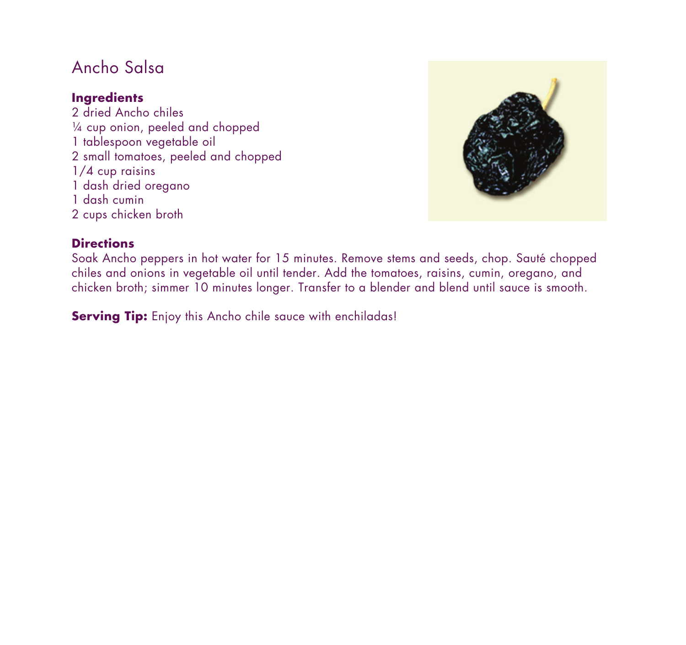# Ancho Salsa

### **Ingredients**

2 dried Ancho chiles ¼ cup onion, peeled and chopped 1 tablespoon vegetable oil 2 small tomatoes, peeled and chopped 1/4 cup raisins 1 dash dried oregano 1 dash cumin 2 cups chicken broth



#### **Directions**

Soak Ancho peppers in hot water for 15 minutes. Remove stems and seeds, chop. Sauté chopped chiles and onions in vegetable oil until tender. Add the tomatoes, raisins, cumin, oregano, and chicken broth; simmer 10 minutes longer. Transfer to a blender and blend until sauce is smooth.

**Serving Tip:** Enjoy this Ancho chile sauce with enchiladas!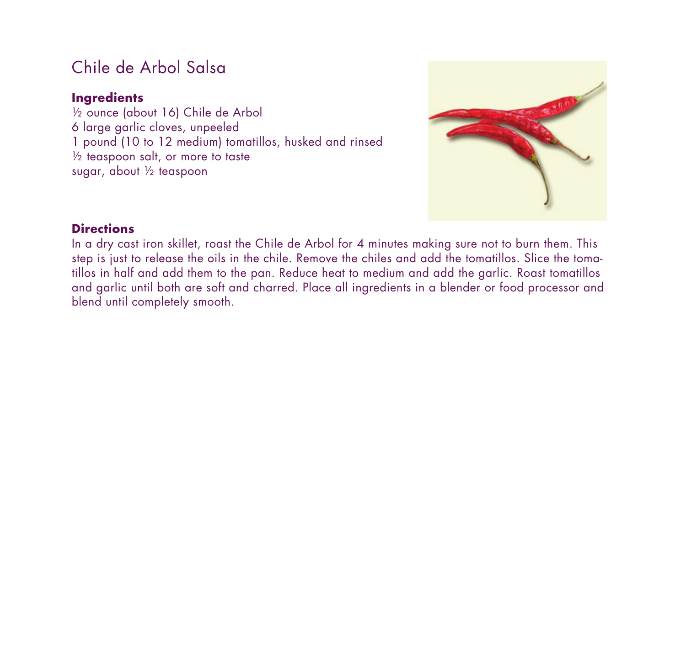## Chile de Arbol Salsa

#### **Ingredients**

½ ounce (about 16) Chile de Arbol 6 large garlic cloves, unpeeled 1 pound (10 to 12 medium) tomatillos, husked and rinsed ½ teaspoon salt, or more to taste sugar, about ½ teaspoon



#### **Directions**

In a dry cast iron skillet, roast the Chile de Arbol for 4 minutes making sure not to burn them. This step is just to release the oils in the chile. Remove the chiles and add the tomatillos. Slice the tomatillos in half and add them to the pan. Reduce heat to medium and add the garlic. Roast tomatillos and garlic until both are soft and charred. Place all ingredients in a blender or food processor and blend until completely smooth.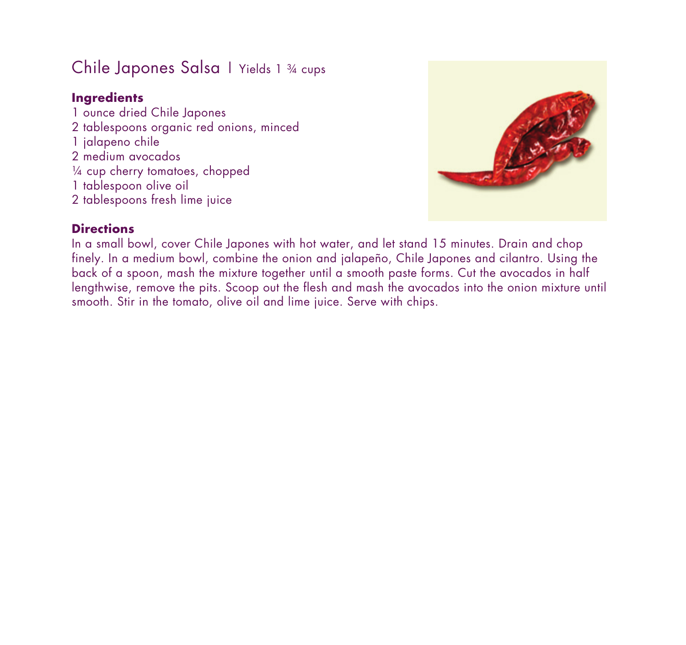# Chile Japones Salsa | Yields 1 34 cups

### **Ingredients**

1 ounce dried Chile Japones 2 tablespoons organic red onions, minced 1 jalapeno chile 2 medium avocados ¼ cup cherry tomatoes, chopped 1 tablespoon olive oil 2 tablespoons fresh lime juice



### **Directions**

In a small bowl, cover Chile Japones with hot water, and let stand 15 minutes. Drain and chop finely. In a medium bowl, combine the onion and jalapeño, Chile Japones and cilantro. Using the back of a spoon, mash the mixture together until a smooth paste forms. Cut the avocados in half lengthwise, remove the pits. Scoop out the flesh and mash the avocados into the onion mixture until smooth. Stir in the tomato, olive oil and lime juice. Serve with chips.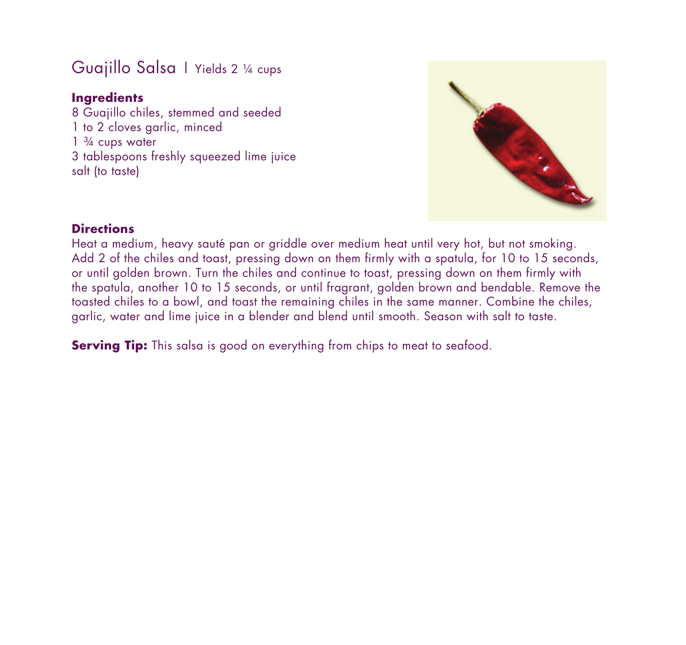## Guajillo Salsa | Yields 2 1/4 cups

### **Ingredients**

8 Guajillo chiles, stemmed and seeded 1 to 2 cloves garlic, minced  $1\frac{3}{4}$  cups water 3 tablespoons freshly squeezed lime juice salt (to taste)



### **Directions**

Heat a medium, heavy sauté pan or griddle over medium heat until very hot, but not smoking. Add 2 of the chiles and toast, pressing down on them firmly with a spatula, for 10 to 15 seconds, or until golden brown. Turn the chiles and continue to toast, pressing down on them firmly with the spatula, another 10 to 15 seconds, or until fragrant, golden brown and bendable. Remove the toasted chiles to a bowl, and toast the remaining chiles in the same manner. Combine the chiles, garlic, water and lime juice in a blender and blend until smooth. Season with salt to taste.

**Serving Tip:** This salsa is good on everything from chips to meat to seafood.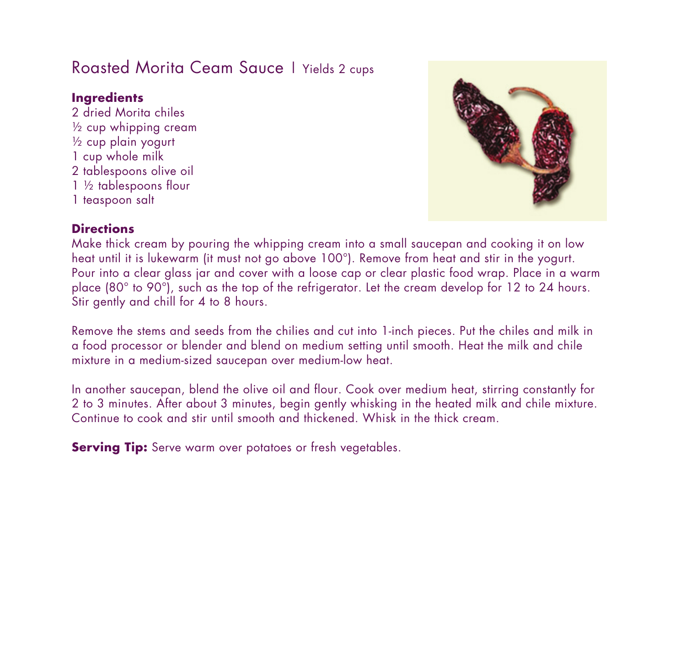## Roasted Morita Ceam Sauce | Yields 2 cups

#### **Ingredients**

2 dried Morita chiles ½ cup whipping cream ½ cup plain yogurt 1 cup whole milk 2 tablespoons olive oil 1 ½ tablespoons flour 1 teaspoon salt



#### **Directions**

Make thick cream by pouring the whipping cream into a small saucepan and cooking it on low heat until it is lukewarm (it must not go above 100°). Remove from heat and stir in the yogurt. Pour into a clear glass jar and cover with a loose cap or clear plastic food wrap. Place in a warm place (80° to 90°), such as the top of the refrigerator. Let the cream develop for 12 to 24 hours. Stir gently and chill for 4 to 8 hours.

Remove the stems and seeds from the chilies and cut into 1-inch pieces. Put the chiles and milk in a food processor or blender and blend on medium setting until smooth. Heat the milk and chile mixture in a medium-sized saucepan over medium-low heat.

In another saucepan, blend the olive oil and flour. Cook over medium heat, stirring constantly for 2 to 3 minutes. After about 3 minutes, begin gently whisking in the heated milk and chile mixture. Continue to cook and stir until smooth and thickened. Whisk in the thick cream.

**Serving Tip:** Serve warm over potatoes or fresh vegetables.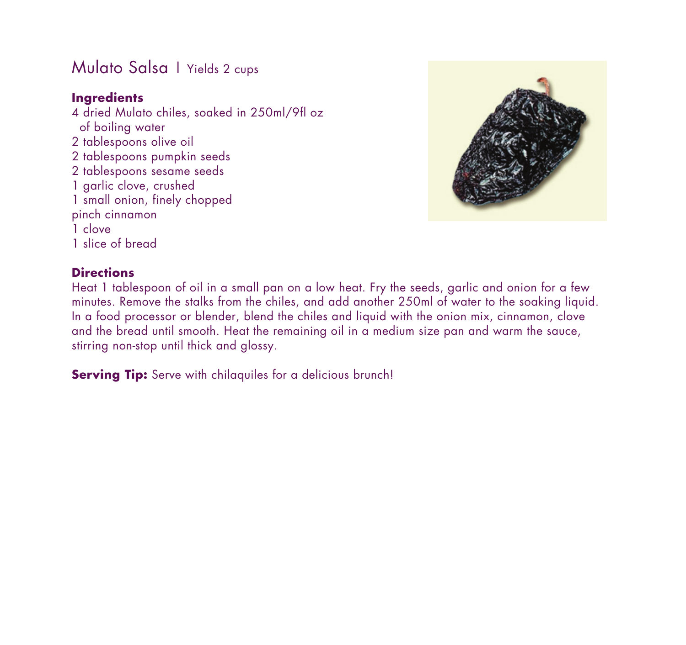## Mulato Salsa | Yields 2 cups

### **Ingredients**

4 dried Mulato chiles, soaked in 250ml/9fl oz of boiling water 2 tablespoons olive oil 2 tablespoons pumpkin seeds 2 tablespoons sesame seeds 1 garlic clove, crushed 1 small onion, finely chopped pinch cinnamon 1 clove 1 slice of bread



#### **Directions**

Heat 1 tablespoon of oil in a small pan on a low heat. Fry the seeds, garlic and onion for a few minutes. Remove the stalks from the chiles, and add another 250ml of water to the soaking liquid. In a food processor or blender, blend the chiles and liquid with the onion mix, cinnamon, clove and the bread until smooth. Heat the remaining oil in a medium size pan and warm the sauce, stirring non-stop until thick and glossy.

**Serving Tip:** Serve with chilaquiles for a delicious brunch!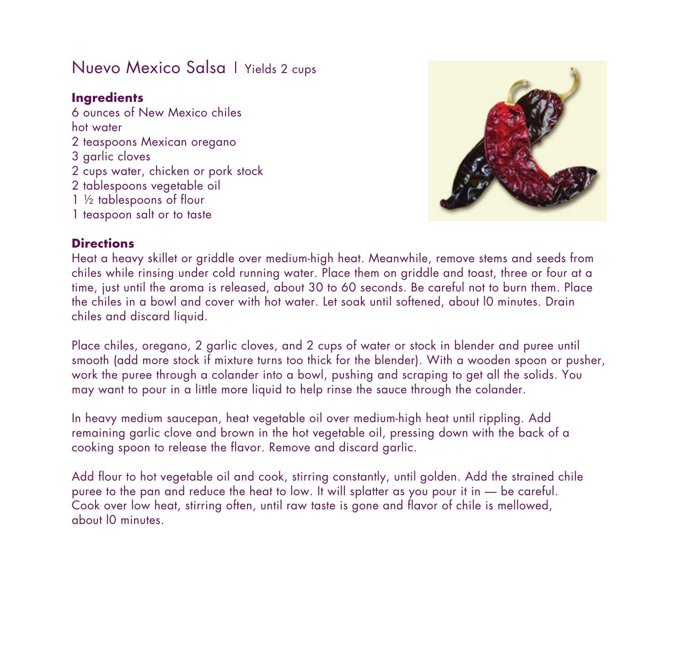## Nuevo Mexico Salsa | Yields 2 cups

#### **Ingredients**

6 ounces of New Mexico chiles hot water 2 teaspoons Mexican oregano 3 garlic cloves 2 cups water, chicken or pork stock 2 tablespoons vegetable oil 1 ½ tablespoons of flour 1 teaspoon salt or to taste



#### **Directions**

Heat a heavy skillet or griddle over medium-high heat. Meanwhile, remove stems and seeds from chiles while rinsing under cold running water. Place them on griddle and toast, three or four at a time, just until the aroma is released, about 30 to 60 seconds. Be careful not to burn them. Place the chiles in a bowl and cover with hot water. Let soak until softened, about l0 minutes. Drain chiles and discard liquid.

Place chiles, oregano, 2 garlic cloves, and 2 cups of water or stock in blender and puree until smooth (add more stock if mixture turns too thick for the blender). With a wooden spoon or pusher, work the puree through a colander into a bowl, pushing and scraping to get all the solids. You may want to pour in a little more liquid to help rinse the sauce through the colander.

In heavy medium saucepan, heat vegetable oil over medium-high heat until rippling. Add remaining garlic clove and brown in the hot vegetable oil, pressing down with the back of a cooking spoon to release the flavor. Remove and discard garlic.

Add flour to hot vegetable oil and cook, stirring constantly, until golden. Add the strained chile puree to the pan and reduce the heat to low. It will splatter as you pour it in — be careful. Cook over low heat, stirring often, until raw taste is gone and flavor of chile is mellowed, about l0 minutes.